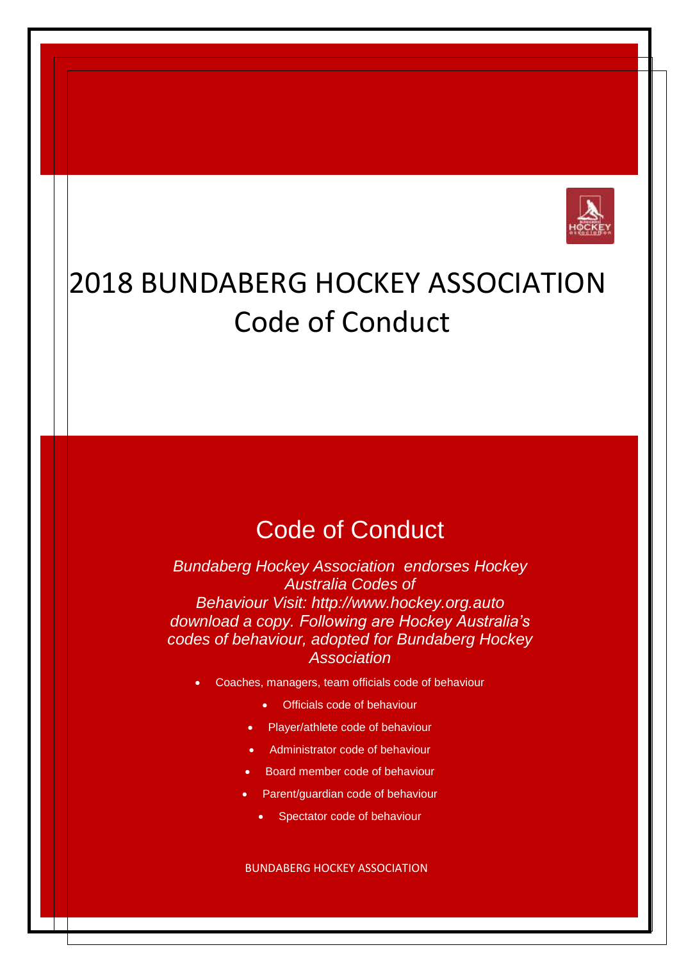

# 2018 BUNDABERG HOCKEY ASSOCIATION Code of Conduct

# Code of Conduct

*Bundaberg Hockey Association endorses Hockey Australia Codes of Behaviour Visit: [http://www.hockey.org.aut](http://www.hockey.org.au/)o download a copy. Following are Hockey Australia's codes of behaviour, adopted for Bundaberg Hockey Association*

- Coaches, managers, team officials code of behaviour
	- Officials code of behaviour
	- Player/athlete code of behaviour
	- Administrator code of behaviour
	- Board member code of behaviour
	- Parent/guardian code of behaviour
		- Spectator code of behaviour

BUNDABERG HOCKEY ASSOCIATION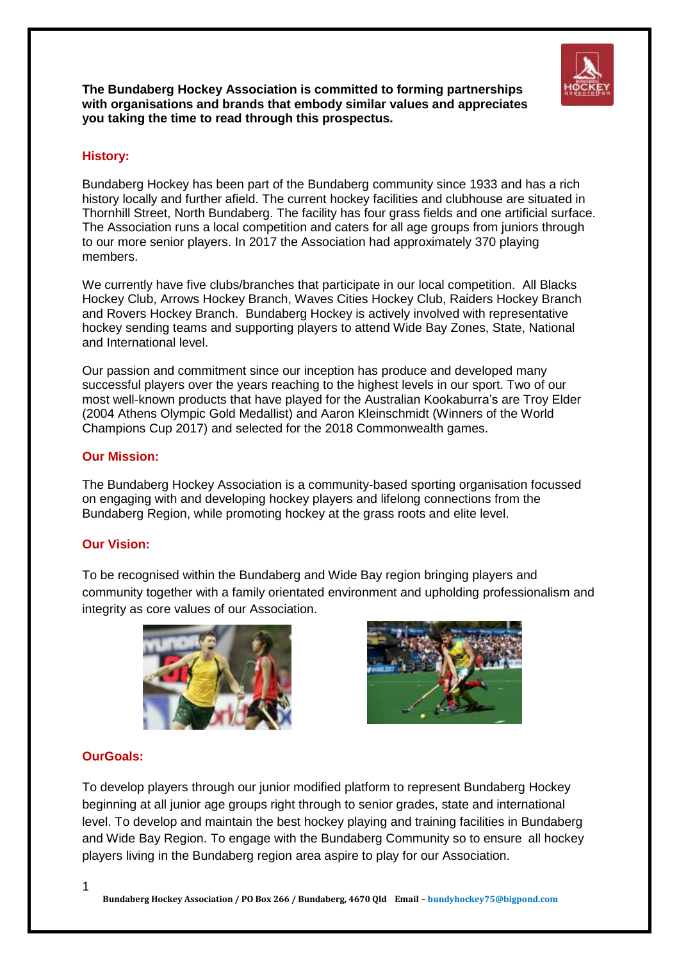

**The Bundaberg Hockey Association is committed to forming partnerships with organisations and brands that embody similar values and appreciates you taking the time to read through this prospectus.** 

## **History:**

Bundaberg Hockey has been part of the Bundaberg community since 1933 and has a rich history locally and further afield. The current hockey facilities and clubhouse are situated in Thornhill Street, North Bundaberg. The facility has four grass fields and one artificial surface. The Association runs a local competition and caters for all age groups from juniors through to our more senior players. In 2017 the Association had approximately 370 playing members.

We currently have five clubs/branches that participate in our local competition. All Blacks Hockey Club, Arrows Hockey Branch, Waves Cities Hockey Club, Raiders Hockey Branch and Rovers Hockey Branch. Bundaberg Hockey is actively involved with representative hockey sending teams and supporting players to attend Wide Bay Zones, State, National and International level.

Our passion and commitment since our inception has produce and developed many successful players over the years reaching to the highest levels in our sport. Two of our most well-known products that have played for the Australian Kookaburra's are Troy Elder (2004 Athens Olympic Gold Medallist) and Aaron Kleinschmidt (Winners of the World Champions Cup 2017) and selected for the 2018 Commonwealth games.

### **Our Mission:**

The Bundaberg Hockey Association is a community-based sporting organisation focussed on engaging with and developing hockey players and lifelong connections from the Bundaberg Region, while promoting hockey at the grass roots and elite level.

### **Our Vision:**

To be recognised within the Bundaberg and Wide Bay region bringing players and community together with a family orientated environment and upholding professionalism and integrity as core values of our Association.





### **OurGoals:**

To develop players through our junior modified platform to represent Bundaberg Hockey beginning at all junior age groups right through to senior grades, state and international level. To develop and maintain the best hockey playing and training facilities in Bundaberg and Wide Bay Region. To engage with the Bundaberg Community so to ensure all hockey players living in the Bundaberg region area aspire to play for our Association.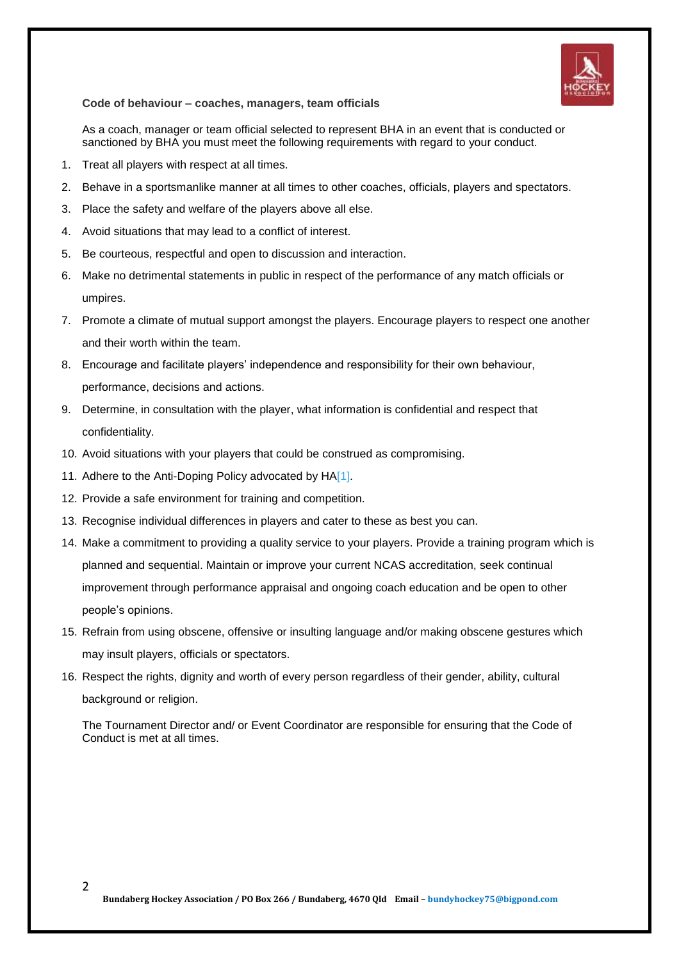

**Code of behaviour – coaches, managers, team officials**

As a coach, manager or team official selected to represent BHA in an event that is conducted or sanctioned by BHA you must meet the following requirements with regard to your conduct.

- 1. Treat all players with respect at all times.
- 2. Behave in a sportsmanlike manner at all times to other coaches, officials, players and spectators.
- 3. Place the safety and welfare of the players above all else.
- 4. Avoid situations that may lead to a conflict of interest.
- 5. Be courteous, respectful and open to discussion and interaction.
- 6. Make no detrimental statements in public in respect of the performance of any match officials or umpires.
- 7. Promote a climate of mutual support amongst the players. Encourage players to respect one another and their worth within the team.
- 8. Encourage and facilitate players' independence and responsibility for their own behaviour, performance, decisions and actions.
- 9. Determine, in consultation with the player, what information is confidential and respect that confidentiality.
- 10. Avoid situations with your players that could be construed as compromising.
- 11. Adhere to the Anti-Doping Policy advocated by H[A\[1\].](http://www.ballinahockey.org.au/wp-admin/page.php?action=edit&post=117#_ftn1)
- 12. Provide a safe environment for training and competition.
- 13. Recognise individual differences in players and cater to these as best you can.
- 14. Make a commitment to providing a quality service to your players. Provide a training program which is planned and sequential. Maintain or improve your current NCAS accreditation, seek continual improvement through performance appraisal and ongoing coach education and be open to other people's opinions.
- 15. Refrain from using obscene, offensive or insulting language and/or making obscene gestures which may insult players, officials or spectators.
- 16. Respect the rights, dignity and worth of every person regardless of their gender, ability, cultural background or religion.

The Tournament Director and/ or Event Coordinator are responsible for ensuring that the Code of Conduct is met at all times.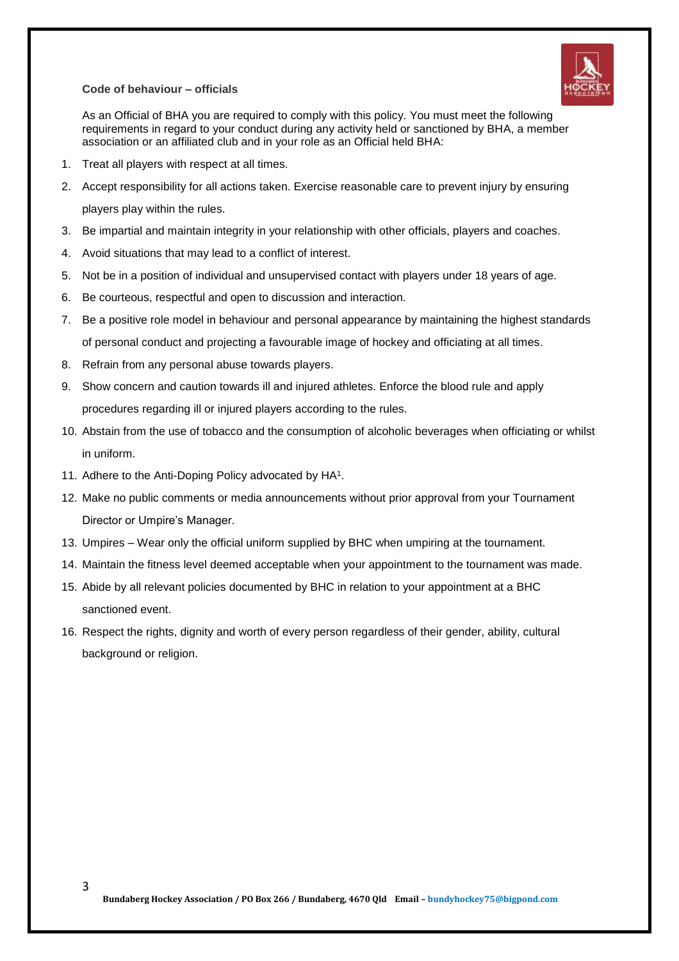### **Code of behaviour – officials**



As an Official of BHA you are required to comply with this policy. You must meet the following requirements in regard to your conduct during any activity held or sanctioned by BHA, a member association or an affiliated club and in your role as an Official held BHA:

- 1. Treat all players with respect at all times.
- 2. Accept responsibility for all actions taken. Exercise reasonable care to prevent injury by ensuring players play within the rules.
- 3. Be impartial and maintain integrity in your relationship with other officials, players and coaches.
- 4. Avoid situations that may lead to a conflict of interest.
- 5. Not be in a position of individual and unsupervised contact with players under 18 years of age.
- 6. Be courteous, respectful and open to discussion and interaction.
- 7. Be a positive role model in behaviour and personal appearance by maintaining the highest standards of personal conduct and projecting a favourable image of hockey and officiating at all times.
- 8. Refrain from any personal abuse towards players.
- 9. Show concern and caution towards ill and injured athletes. Enforce the blood rule and apply procedures regarding ill or injured players according to the rules.
- 10. Abstain from the use of tobacco and the consumption of alcoholic beverages when officiating or whilst in uniform.
- 11. Adhere to the Anti-Doping Policy advocated by HA<sup>1</sup>.
- 12. Make no public comments or media announcements without prior approval from your Tournament Director or Umpire's Manager.
- 13. Umpires Wear only the official uniform supplied by BHC when umpiring at the tournament.
- 14. Maintain the fitness level deemed acceptable when your appointment to the tournament was made.
- 15. Abide by all relevant policies documented by BHC in relation to your appointment at a BHC sanctioned event.
- 16. Respect the rights, dignity and worth of every person regardless of their gender, ability, cultural background or religion.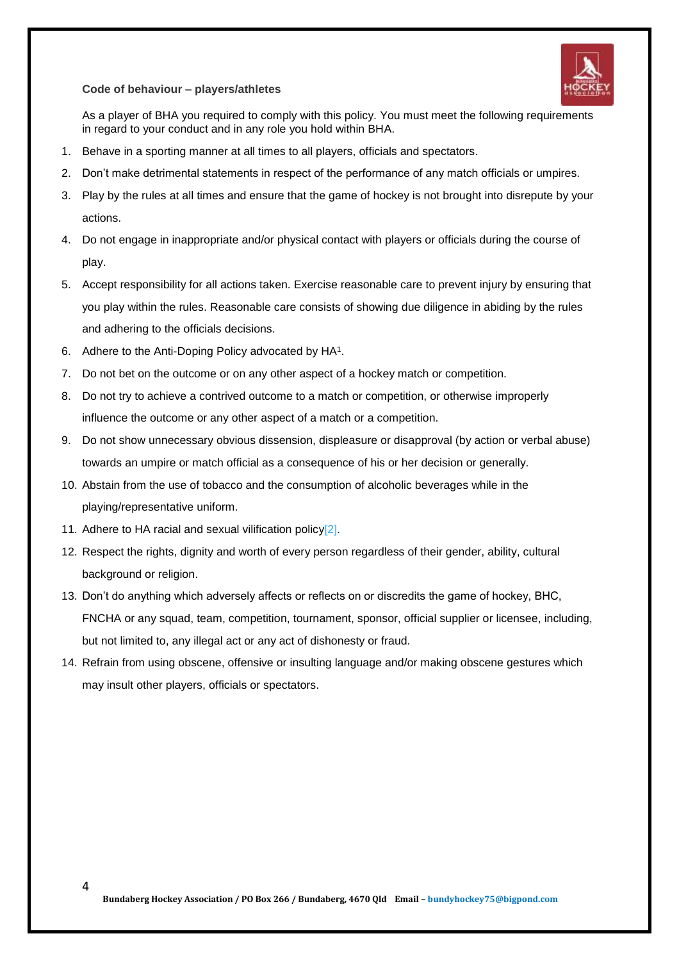#### **Code of behaviour – players/athletes**



As a player of BHA you required to comply with this policy. You must meet the following requirements in regard to your conduct and in any role you hold within BHA.

- 1. Behave in a sporting manner at all times to all players, officials and spectators.
- 2. Don't make detrimental statements in respect of the performance of any match officials or umpires.
- 3. Play by the rules at all times and ensure that the game of hockey is not brought into disrepute by your actions.
- 4. Do not engage in inappropriate and/or physical contact with players or officials during the course of play.
- 5. Accept responsibility for all actions taken. Exercise reasonable care to prevent injury by ensuring that you play within the rules. Reasonable care consists of showing due diligence in abiding by the rules and adhering to the officials decisions.
- 6. Adhere to the Anti-Doping Policy advocated by HA<sup>1</sup>.
- 7. Do not bet on the outcome or on any other aspect of a hockey match or competition.
- 8. Do not try to achieve a contrived outcome to a match or competition, or otherwise improperly influence the outcome or any other aspect of a match or a competition.
- 9. Do not show unnecessary obvious dissension, displeasure or disapproval (by action or verbal abuse) towards an umpire or match official as a consequence of his or her decision or generally.
- 10. Abstain from the use of tobacco and the consumption of alcoholic beverages while in the playing/representative uniform.
- 11. Adhere to HA racial and sexual vilification polic[y\[2\].](http://www.ballinahockey.org.au/wp-admin/page.php?action=edit&post=117#_ftn2)
- 12. Respect the rights, dignity and worth of every person regardless of their gender, ability, cultural background or religion.
- 13. Don't do anything which adversely affects or reflects on or discredits the game of hockey, BHC, FNCHA or any squad, team, competition, tournament, sponsor, official supplier or licensee, including, but not limited to, any illegal act or any act of dishonesty or fraud.
- 14. Refrain from using obscene, offensive or insulting language and/or making obscene gestures which may insult other players, officials or spectators.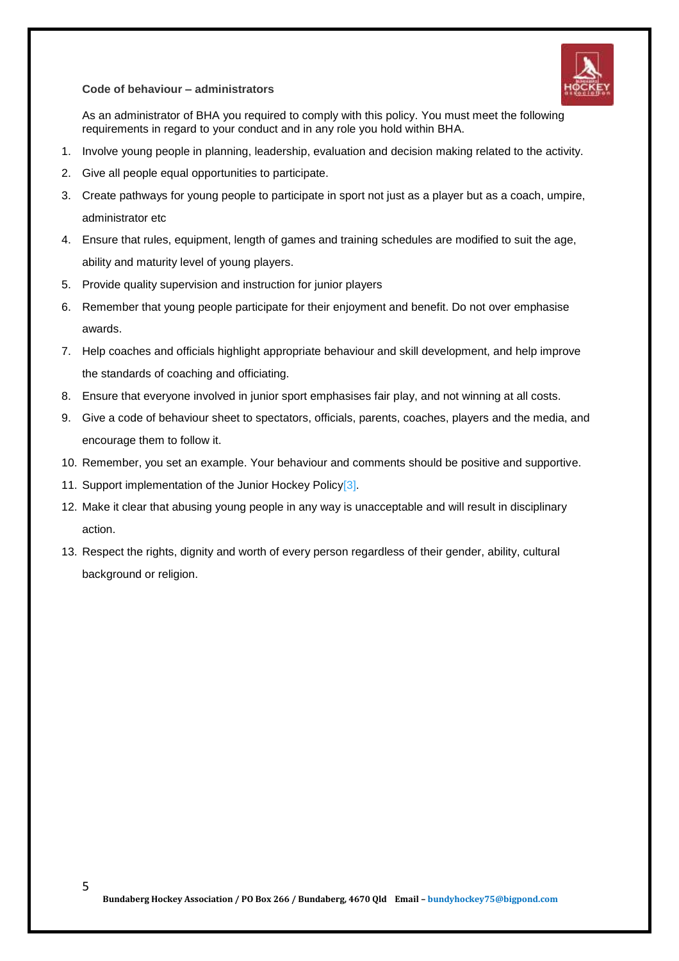**Code of behaviour – administrators**



As an administrator of BHA you required to comply with this policy. You must meet the following requirements in regard to your conduct and in any role you hold within BHA.

- 1. Involve young people in planning, leadership, evaluation and decision making related to the activity.
- 2. Give all people equal opportunities to participate.
- 3. Create pathways for young people to participate in sport not just as a player but as a coach, umpire, administrator etc
- 4. Ensure that rules, equipment, length of games and training schedules are modified to suit the age, ability and maturity level of young players.
- 5. Provide quality supervision and instruction for junior players
- 6. Remember that young people participate for their enjoyment and benefit. Do not over emphasise awards.
- 7. Help coaches and officials highlight appropriate behaviour and skill development, and help improve the standards of coaching and officiating.
- 8. Ensure that everyone involved in junior sport emphasises fair play, and not winning at all costs.
- 9. Give a code of behaviour sheet to spectators, officials, parents, coaches, players and the media, and encourage them to follow it.
- 10. Remember, you set an example. Your behaviour and comments should be positive and supportive.
- 11. Support implementation of the Junior Hockey Policy<sup>[3]</sup>.
- 12. Make it clear that abusing young people in any way is unacceptable and will result in disciplinary action.
- 13. Respect the rights, dignity and worth of every person regardless of their gender, ability, cultural background or religion.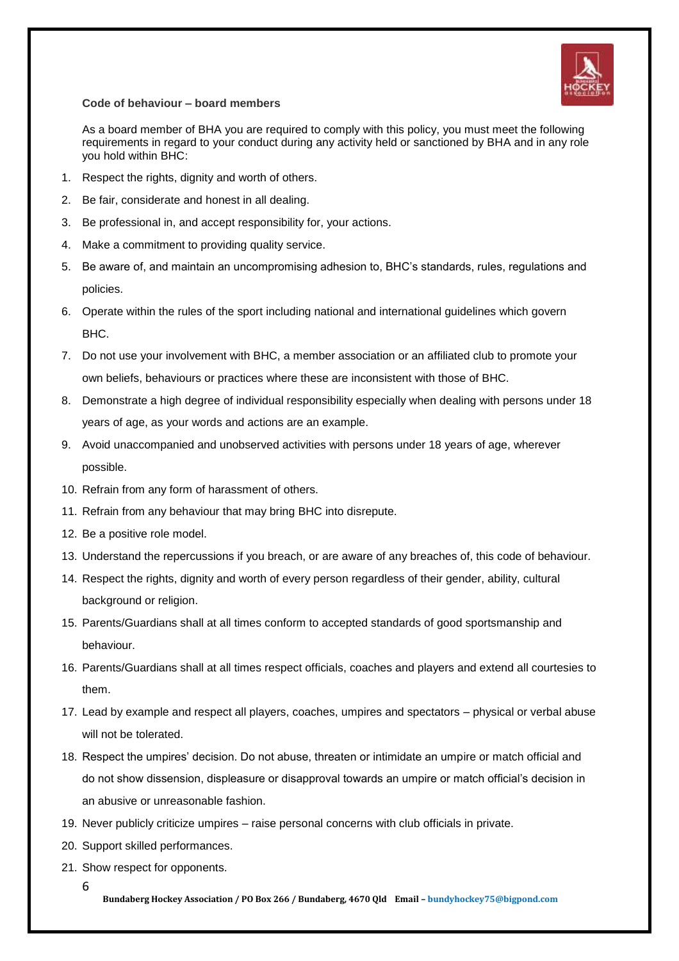

**Code of behaviour – board members**

As a board member of BHA you are required to comply with this policy, you must meet the following requirements in regard to your conduct during any activity held or sanctioned by BHA and in any role you hold within BHC:

- 1. Respect the rights, dignity and worth of others.
- 2. Be fair, considerate and honest in all dealing.
- 3. Be professional in, and accept responsibility for, your actions.
- 4. Make a commitment to providing quality service.
- 5. Be aware of, and maintain an uncompromising adhesion to, BHC's standards, rules, regulations and policies.
- 6. Operate within the rules of the sport including national and international guidelines which govern BHC.
- 7. Do not use your involvement with BHC, a member association or an affiliated club to promote your own beliefs, behaviours or practices where these are inconsistent with those of BHC.
- 8. Demonstrate a high degree of individual responsibility especially when dealing with persons under 18 years of age, as your words and actions are an example.
- 9. Avoid unaccompanied and unobserved activities with persons under 18 years of age, wherever possible.
- 10. Refrain from any form of harassment of others.
- 11. Refrain from any behaviour that may bring BHC into disrepute.
- 12. Be a positive role model.
- 13. Understand the repercussions if you breach, or are aware of any breaches of, this code of behaviour.
- 14. Respect the rights, dignity and worth of every person regardless of their gender, ability, cultural background or religion.
- 15. Parents/Guardians shall at all times conform to accepted standards of good sportsmanship and behaviour.
- 16. Parents/Guardians shall at all times respect officials, coaches and players and extend all courtesies to them.
- 17. Lead by example and respect all players, coaches, umpires and spectators physical or verbal abuse will not be tolerated.
- 18. Respect the umpires' decision. Do not abuse, threaten or intimidate an umpire or match official and do not show dissension, displeasure or disapproval towards an umpire or match official's decision in an abusive or unreasonable fashion.
- 19. Never publicly criticize umpires raise personal concerns with club officials in private.
- 20. Support skilled performances.
- 21. Show respect for opponents.
	- 6

**Bundaberg Hockey Association / PO Box 266 / Bundaberg, 4670 Qld Email – bundyhockey75@bigpond.com**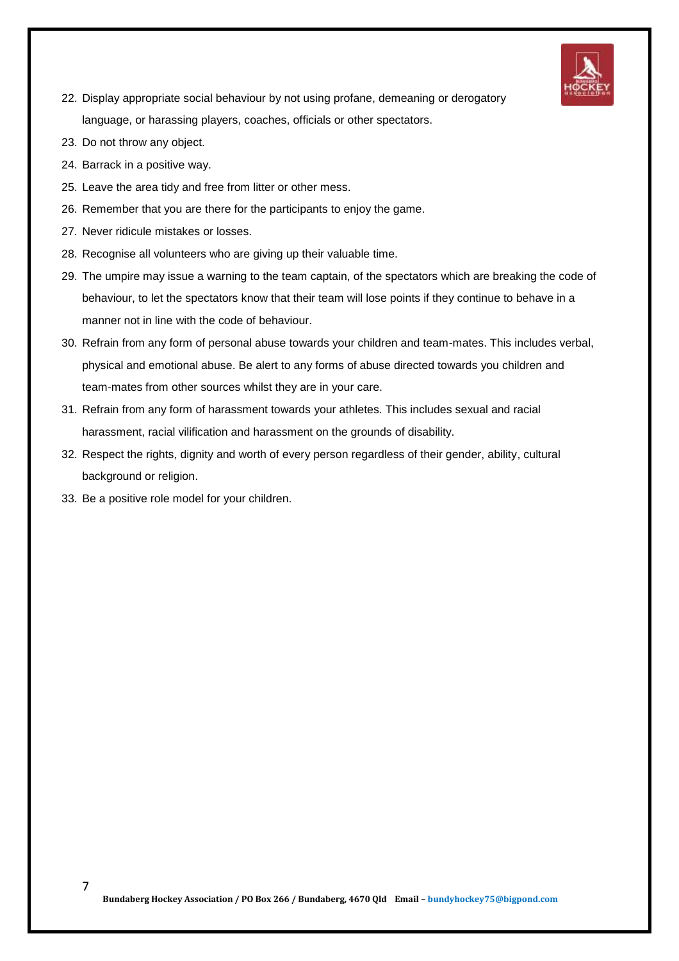

- 22. Display appropriate social behaviour by not using profane, demeaning or derogatory language, or harassing players, coaches, officials or other spectators.
- 23. Do not throw any object.
- 24. Barrack in a positive way.
- 25. Leave the area tidy and free from litter or other mess.
- 26. Remember that you are there for the participants to enjoy the game.
- 27. Never ridicule mistakes or losses.
- 28. Recognise all volunteers who are giving up their valuable time.
- 29. The umpire may issue a warning to the team captain, of the spectators which are breaking the code of behaviour, to let the spectators know that their team will lose points if they continue to behave in a manner not in line with the code of behaviour.
- 30. Refrain from any form of personal abuse towards your children and team-mates. This includes verbal, physical and emotional abuse. Be alert to any forms of abuse directed towards you children and team-mates from other sources whilst they are in your care.
- 31. Refrain from any form of harassment towards your athletes. This includes sexual and racial harassment, racial vilification and harassment on the grounds of disability.
- 32. Respect the rights, dignity and worth of every person regardless of their gender, ability, cultural background or religion.
- 33. Be a positive role model for your children.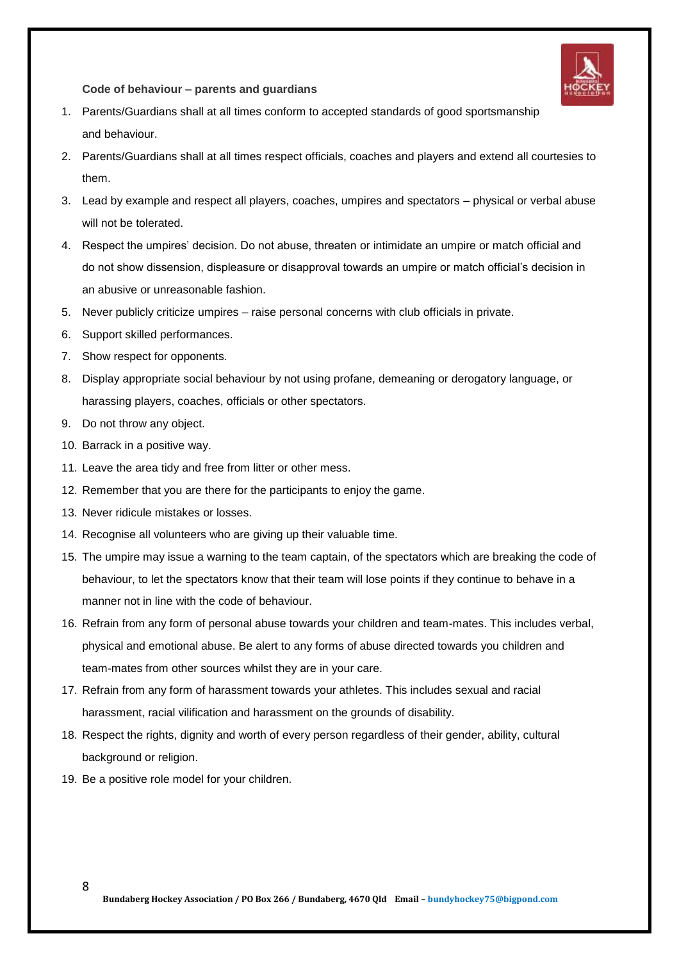

**Code of behaviour – parents and guardians**

- 1. Parents/Guardians shall at all times conform to accepted standards of good sportsmanship and behaviour.
- 2. Parents/Guardians shall at all times respect officials, coaches and players and extend all courtesies to them.
- 3. Lead by example and respect all players, coaches, umpires and spectators physical or verbal abuse will not be tolerated.
- 4. Respect the umpires' decision. Do not abuse, threaten or intimidate an umpire or match official and do not show dissension, displeasure or disapproval towards an umpire or match official's decision in an abusive or unreasonable fashion.
- 5. Never publicly criticize umpires raise personal concerns with club officials in private.
- 6. Support skilled performances.
- 7. Show respect for opponents.
- 8. Display appropriate social behaviour by not using profane, demeaning or derogatory language, or harassing players, coaches, officials or other spectators.
- 9. Do not throw any object.
- 10. Barrack in a positive way.
- 11. Leave the area tidy and free from litter or other mess.
- 12. Remember that you are there for the participants to enjoy the game.
- 13. Never ridicule mistakes or losses.
- 14. Recognise all volunteers who are giving up their valuable time.
- 15. The umpire may issue a warning to the team captain, of the spectators which are breaking the code of behaviour, to let the spectators know that their team will lose points if they continue to behave in a manner not in line with the code of behaviour.
- 16. Refrain from any form of personal abuse towards your children and team-mates. This includes verbal, physical and emotional abuse. Be alert to any forms of abuse directed towards you children and team-mates from other sources whilst they are in your care.
- 17. Refrain from any form of harassment towards your athletes. This includes sexual and racial harassment, racial vilification and harassment on the grounds of disability.
- 18. Respect the rights, dignity and worth of every person regardless of their gender, ability, cultural background or religion.
- 19. Be a positive role model for your children.